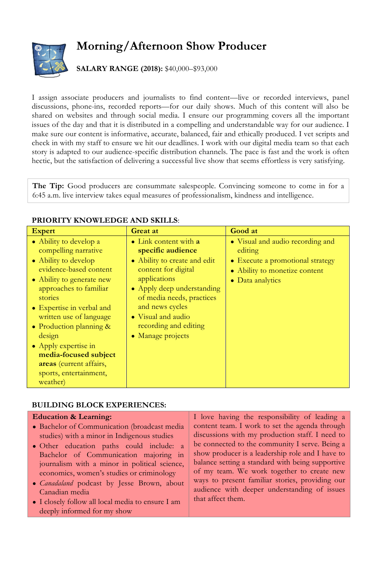# **Morning/Afternoon Show Producer**



## **SALARY RANGE (2018):** \$40,000–\$93,000

I assign associate producers and journalists to find content—live or recorded interviews, panel discussions, phone-ins, recorded reports—for our daily shows. Much of this content will also be shared on websites and through social media. I ensure our programming covers all the important issues of the day and that it is distributed in a compelling and understandable way for our audience. I make sure our content is informative, accurate, balanced, fair and ethically produced. I vet scripts and check in with my staff to ensure we hit our deadlines. I work with our digital media team so that each story is adapted to our audience-specific distribution channels. The pace is fast and the work is often hectic, but the satisfaction of delivering a successful live show that seems effortless is very satisfying.

**The Tip:** Good producers are consummate salespeople. Convincing someone to come in for a 6:45 a.m. live interview takes equal measures of professionalism, kindness and intelligence.

## **PRIORITY KNOWLEDGE AND SKILLS**:

| <b>Expert</b>                                                                                                                                                                                                                                                                                                                                                                        | Great at                                                                                                                                                                                                                                                                    | Good at                                                                                                                              |  |
|--------------------------------------------------------------------------------------------------------------------------------------------------------------------------------------------------------------------------------------------------------------------------------------------------------------------------------------------------------------------------------------|-----------------------------------------------------------------------------------------------------------------------------------------------------------------------------------------------------------------------------------------------------------------------------|--------------------------------------------------------------------------------------------------------------------------------------|--|
| • Ability to develop a<br>compelling narrative<br>• Ability to develop<br>evidence-based content<br>• Ability to generate new<br>approaches to familiar<br>stories<br>• Expertise in verbal and<br>written use of language<br>• Production planning $\&$<br>design<br>• Apply expertise in<br>media-focused subject<br>areas (current affairs,<br>sports, entertainment,<br>weather) | $\bullet$ Link content with a<br>specific audience<br>• Ability to create and edit<br>content for digital<br>applications<br>• Apply deep understanding<br>of media needs, practices<br>and news cycles<br>• Visual and audio<br>recording and editing<br>• Manage projects | • Visual and audio recording and<br>editing<br>• Execute a promotional strategy<br>• Ability to monetize content<br>• Data analytics |  |

#### **BUILDING BLOCK EXPERIENCES:**

#### **Education & Learning:**

- Bachelor of Communication (broadcast media studies) with a minor in Indigenous studies
- Other education paths could include: a Bachelor of Communication majoring in journalism with a minor in political science, economics, women's studies or criminology
- *Canadaland* podcast by Jesse Brown, about Canadian media
- I closely follow all local media to ensure I am deeply informed for my show

I love having the responsibility of leading a content team. I work to set the agenda through discussions with my production staff. I need to be connected to the community I serve. Being a show producer is a leadership role and I have to balance setting a standard with being supportive of my team. We work together to create new ways to present familiar stories, providing our audience with deeper understanding of issues that affect them.